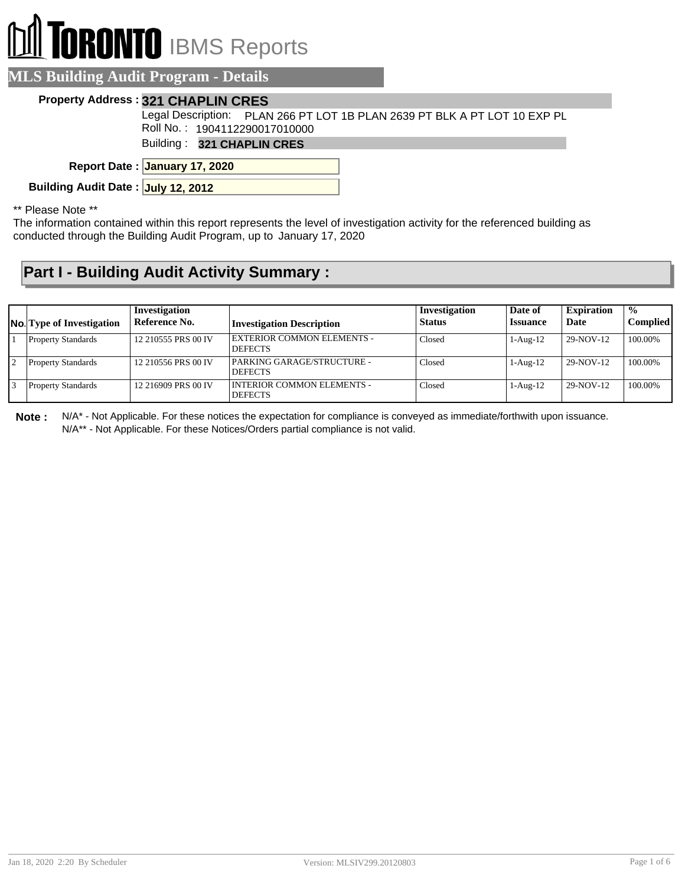## **RONTO** IBMS Reports

| <b>MLS Building Audit Program - Details</b>                                                                                                                                                                                                                                                                                                                                                                                        |                                                                                                            |  |  |  |  |
|------------------------------------------------------------------------------------------------------------------------------------------------------------------------------------------------------------------------------------------------------------------------------------------------------------------------------------------------------------------------------------------------------------------------------------|------------------------------------------------------------------------------------------------------------|--|--|--|--|
|                                                                                                                                                                                                                                                                                                                                                                                                                                    | <b>Property Address: 321 CHAPLIN CRES</b>                                                                  |  |  |  |  |
|                                                                                                                                                                                                                                                                                                                                                                                                                                    | Legal Description: PLAN 266 PT LOT 1B PLAN 2639 PT BLK A PT LOT 10 EXP PL<br>Roll No.: 1904112290017010000 |  |  |  |  |
|                                                                                                                                                                                                                                                                                                                                                                                                                                    | Building: 321 CHAPLIN CRES                                                                                 |  |  |  |  |
|                                                                                                                                                                                                                                                                                                                                                                                                                                    | Report Date: January 17, 2020                                                                              |  |  |  |  |
| Building Audit Date: July 12, 2012                                                                                                                                                                                                                                                                                                                                                                                                 |                                                                                                            |  |  |  |  |
| $\begin{array}{ccc} \texttt{a} & \texttt{b} & \texttt{c} & \texttt{c} & \texttt{c} & \texttt{c} & \texttt{d} & \texttt{c} & \texttt{d} & \texttt{c} & \texttt{c} & \texttt{c} & \texttt{c} & \texttt{c} & \texttt{c} & \texttt{c} & \texttt{c} & \texttt{c} & \texttt{c} & \texttt{c} & \texttt{c} & \texttt{c} & \texttt{c} & \texttt{c} & \texttt{c} & \texttt{c} & \texttt{c} & \texttt{c} & \texttt{c} & \texttt{c} & \texttt$ |                                                                                                            |  |  |  |  |

\*\* Please Note \*\*

The information contained within this report represents the level of investigation activity for the referenced building as conducted through the Building Audit Program, up to January 17, 2020

## **Part I - Building Audit Activity Summary :**

| <b>No.</b> Type of Investigation | Investigation<br>Reference No. | <b>Investigation Description</b>                    | Investigation<br><b>Status</b> | Date of<br><b>Issuance</b> | <b>Expiration</b><br>Date | $\frac{0}{0}$<br><b>Complied</b> |
|----------------------------------|--------------------------------|-----------------------------------------------------|--------------------------------|----------------------------|---------------------------|----------------------------------|
| <b>Property Standards</b>        | 12 210555 PRS 00 IV            | <b>EXTERIOR COMMON ELEMENTS -</b><br><b>DEFECTS</b> | Closed                         | $1-Aug-12$                 | 29-NOV-12                 | 100.00%                          |
| <b>Property Standards</b>        | 12 210556 PRS 00 IV            | PARKING GARAGE/STRUCTURE -<br><b>DEFECTS</b>        | Closed                         | $1-Aug-12$                 | 29-NOV-12                 | 100.00%                          |
| <b>Property Standards</b>        | 12 216909 PRS 00 IV            | INTERIOR COMMON ELEMENTS -<br><b>DEFECTS</b>        | Closed                         | $1-Aug-12$                 | 29-NOV-12                 | 100.00%                          |

**Note :** N/A\* - Not Applicable. For these notices the expectation for compliance is conveyed as immediate/forthwith upon issuance. N/A\*\* - Not Applicable. For these Notices/Orders partial compliance is not valid.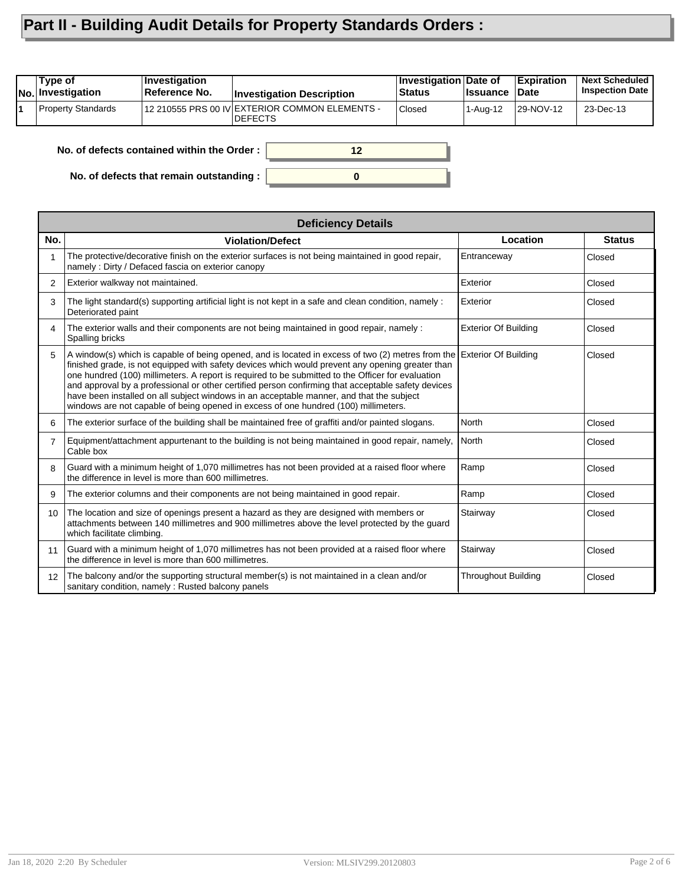## **Part II - Building Audit Details for Property Standards Orders :**

| Type of<br><b>No.</b> Investigation        | Investigation<br>Reference No. | <b>Investigation Description</b>                                  | Investigation Date of<br><b>Status</b> | <b>∣Issuance</b> | <b>Expiration</b><br><b>Date</b> | <b>Next Scheduled</b><br><b>Inspection Date</b> |
|--------------------------------------------|--------------------------------|-------------------------------------------------------------------|----------------------------------------|------------------|----------------------------------|-------------------------------------------------|
| Property Standards                         |                                | 12 210555 PRS 00 IV EXTERIOR COMMON ELEMENTS -<br><b>IDEFECTS</b> | <b>Closed</b>                          | 1-Aug-12         | 29-NOV-12                        | 23-Dec-13                                       |
| No. of defects contained within the Order: |                                |                                                                   |                                        |                  |                                  |                                                 |

**0**

**No. of defects contained within the Order :**

**No. of defects that remain outstanding :**

|                 | <b>Deficiency Details</b>                                                                                                                                                                                                                                                                                                                                                                                                                                                                                                                                                                                                |                             |               |  |  |  |  |  |  |
|-----------------|--------------------------------------------------------------------------------------------------------------------------------------------------------------------------------------------------------------------------------------------------------------------------------------------------------------------------------------------------------------------------------------------------------------------------------------------------------------------------------------------------------------------------------------------------------------------------------------------------------------------------|-----------------------------|---------------|--|--|--|--|--|--|
| No.             | <b>Violation/Defect</b>                                                                                                                                                                                                                                                                                                                                                                                                                                                                                                                                                                                                  | Location                    | <b>Status</b> |  |  |  |  |  |  |
| 1               | The protective/decorative finish on the exterior surfaces is not being maintained in good repair,<br>namely: Dirty / Defaced fascia on exterior canopy                                                                                                                                                                                                                                                                                                                                                                                                                                                                   | Entranceway                 | Closed        |  |  |  |  |  |  |
| 2               | Exterior walkway not maintained.                                                                                                                                                                                                                                                                                                                                                                                                                                                                                                                                                                                         | Exterior                    | Closed        |  |  |  |  |  |  |
| 3               | The light standard(s) supporting artificial light is not kept in a safe and clean condition, namely :<br>Deteriorated paint                                                                                                                                                                                                                                                                                                                                                                                                                                                                                              | Exterior                    | Closed        |  |  |  |  |  |  |
| 4               | The exterior walls and their components are not being maintained in good repair, namely :<br>Spalling bricks                                                                                                                                                                                                                                                                                                                                                                                                                                                                                                             | <b>Exterior Of Building</b> | Closed        |  |  |  |  |  |  |
| 5               | A window(s) which is capable of being opened, and is located in excess of two (2) metres from the Exterior Of Building<br>finished grade, is not equipped with safety devices which would prevent any opening greater than<br>one hundred (100) millimeters. A report is required to be submitted to the Officer for evaluation<br>and approval by a professional or other certified person confirming that acceptable safety devices<br>have been installed on all subject windows in an acceptable manner, and that the subject<br>windows are not capable of being opened in excess of one hundred (100) millimeters. |                             | Closed        |  |  |  |  |  |  |
| 6               | The exterior surface of the building shall be maintained free of graffiti and/or painted slogans.                                                                                                                                                                                                                                                                                                                                                                                                                                                                                                                        | North                       | Closed        |  |  |  |  |  |  |
| $\overline{7}$  | Equipment/attachment appurtenant to the building is not being maintained in good repair, namely,<br>Cable box                                                                                                                                                                                                                                                                                                                                                                                                                                                                                                            | <b>North</b>                | Closed        |  |  |  |  |  |  |
| 8               | Guard with a minimum height of 1,070 millimetres has not been provided at a raised floor where<br>the difference in level is more than 600 millimetres.                                                                                                                                                                                                                                                                                                                                                                                                                                                                  | Ramp                        | Closed        |  |  |  |  |  |  |
| 9               | The exterior columns and their components are not being maintained in good repair.                                                                                                                                                                                                                                                                                                                                                                                                                                                                                                                                       | Ramp                        | Closed        |  |  |  |  |  |  |
| 10 <sup>°</sup> | The location and size of openings present a hazard as they are designed with members or<br>attachments between 140 millimetres and 900 millimetres above the level protected by the guard<br>which facilitate climbing.                                                                                                                                                                                                                                                                                                                                                                                                  | Stairway                    | Closed        |  |  |  |  |  |  |
| 11              | Guard with a minimum height of 1,070 millimetres has not been provided at a raised floor where<br>the difference in level is more than 600 millimetres.                                                                                                                                                                                                                                                                                                                                                                                                                                                                  | Stairway                    | Closed        |  |  |  |  |  |  |
| 12              | The balcony and/or the supporting structural member(s) is not maintained in a clean and/or<br>sanitary condition, namely: Rusted balcony panels                                                                                                                                                                                                                                                                                                                                                                                                                                                                          | <b>Throughout Building</b>  | Closed        |  |  |  |  |  |  |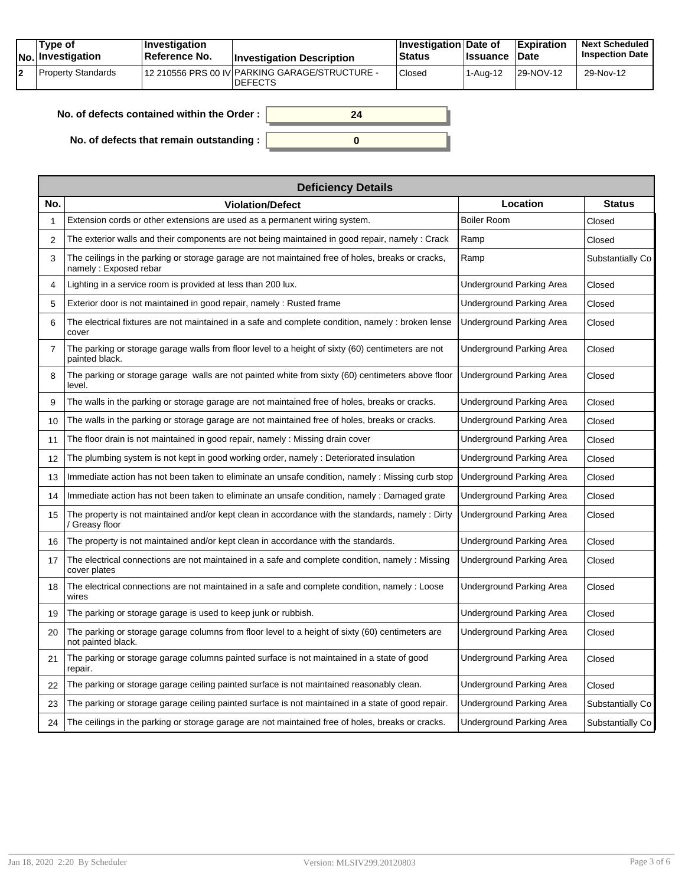|  | Tvpe of<br><b>No.</b> Investigation | <b>Investigation</b><br>Reference No. | <b>Investigation Description</b>                                 | <b>∣Investigation Date of</b><br><b>Status</b> | <b>Ilssuance Date</b> | <b>Expiration</b> | <b>Next Scheduled</b><br><b>Inspection Date</b> |
|--|-------------------------------------|---------------------------------------|------------------------------------------------------------------|------------------------------------------------|-----------------------|-------------------|-------------------------------------------------|
|  | l Property Standards                |                                       | 12 210556 PRS 00 IV PARKING GARAGE/STRUCTURE -<br><b>DEFECTS</b> | Closed                                         | ' 1-Aug-12            | 129-NOV-12        | 29-Nov-12                                       |

**0**

**24**

| No. of defects contained within the Order: |  |  |  |
|--------------------------------------------|--|--|--|
|                                            |  |  |  |

**No. of defects that remain outstanding :**

|                | <b>Deficiency Details</b>                                                                                                   |                          |                  |  |  |  |  |
|----------------|-----------------------------------------------------------------------------------------------------------------------------|--------------------------|------------------|--|--|--|--|
| No.            | <b>Violation/Defect</b>                                                                                                     | Location                 | <b>Status</b>    |  |  |  |  |
| 1              | Extension cords or other extensions are used as a permanent wiring system.                                                  | <b>Boiler Room</b>       | Closed           |  |  |  |  |
| 2              | The exterior walls and their components are not being maintained in good repair, namely : Crack                             | Ramp                     | Closed           |  |  |  |  |
| 3              | The ceilings in the parking or storage garage are not maintained free of holes, breaks or cracks,<br>namely : Exposed rebar | Ramp                     | Substantially Co |  |  |  |  |
| 4              | Lighting in a service room is provided at less than 200 lux.                                                                | Underground Parking Area | Closed           |  |  |  |  |
| 5              | Exterior door is not maintained in good repair, namely: Rusted frame                                                        | Underground Parking Area | Closed           |  |  |  |  |
| 6              | The electrical fixtures are not maintained in a safe and complete condition, namely : broken lense<br>cover                 | Underground Parking Area | Closed           |  |  |  |  |
| $\overline{7}$ | The parking or storage garage walls from floor level to a height of sixty (60) centimeters are not<br>painted black.        | Underground Parking Area | Closed           |  |  |  |  |
| 8              | The parking or storage garage walls are not painted white from sixty (60) centimeters above floor<br>level.                 | Underground Parking Area | Closed           |  |  |  |  |
| 9              | The walls in the parking or storage garage are not maintained free of holes, breaks or cracks.                              | Underground Parking Area | Closed           |  |  |  |  |
| 10             | The walls in the parking or storage garage are not maintained free of holes, breaks or cracks.                              | Underground Parking Area | Closed           |  |  |  |  |
| 11             | The floor drain is not maintained in good repair, namely : Missing drain cover                                              | Underground Parking Area | Closed           |  |  |  |  |
| 12             | The plumbing system is not kept in good working order, namely : Deteriorated insulation                                     | Underground Parking Area | Closed           |  |  |  |  |
| 13             | Immediate action has not been taken to eliminate an unsafe condition, namely : Missing curb stop                            | Underground Parking Area | Closed           |  |  |  |  |
| 14             | Immediate action has not been taken to eliminate an unsafe condition, namely: Damaged grate                                 | Underground Parking Area | Closed           |  |  |  |  |
| 15             | The property is not maintained and/or kept clean in accordance with the standards, namely : Dirty<br>/ Greasy floor         | Underground Parking Area | Closed           |  |  |  |  |
| 16             | The property is not maintained and/or kept clean in accordance with the standards.                                          | Underground Parking Area | Closed           |  |  |  |  |
| 17             | The electrical connections are not maintained in a safe and complete condition, namely : Missing<br>cover plates            | Underground Parking Area | Closed           |  |  |  |  |
| 18             | The electrical connections are not maintained in a safe and complete condition, namely : Loose<br>wires                     | Underground Parking Area | Closed           |  |  |  |  |
| 19             | The parking or storage garage is used to keep junk or rubbish.                                                              | Underground Parking Area | Closed           |  |  |  |  |
| 20             | The parking or storage garage columns from floor level to a height of sixty (60) centimeters are<br>not painted black.      | Underground Parking Area | Closed           |  |  |  |  |
| 21             | The parking or storage garage columns painted surface is not maintained in a state of good<br>repair.                       | Underground Parking Area | Closed           |  |  |  |  |
| 22             | The parking or storage garage ceiling painted surface is not maintained reasonably clean.                                   | Underground Parking Area | Closed           |  |  |  |  |
| 23             | The parking or storage garage ceiling painted surface is not maintained in a state of good repair.                          | Underground Parking Area | Substantially Co |  |  |  |  |
| 24             | The ceilings in the parking or storage garage are not maintained free of holes, breaks or cracks.                           | Underground Parking Area | Substantially Co |  |  |  |  |
|                |                                                                                                                             |                          |                  |  |  |  |  |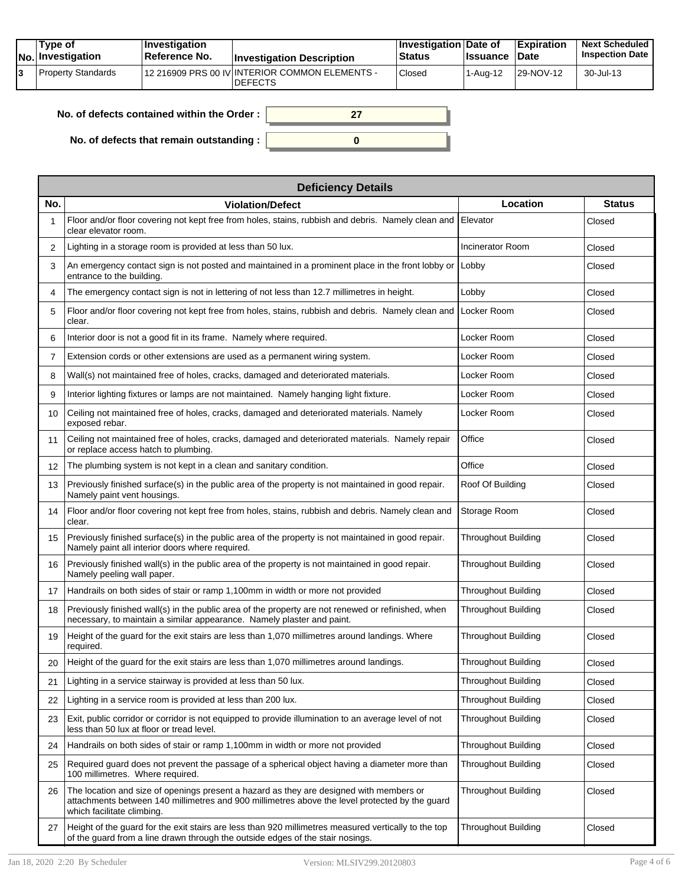|  | Tvpe of<br><b>No.</b> Investigation | <b>Investigation</b><br>Reference No. | <b>Investigation Description</b>                                 | <b>Investigation Date of</b><br><b>Status</b> | <b>Issuance Date</b> | Expiration | <b>Next Scheduled</b><br><b>Inspection Date</b> |
|--|-------------------------------------|---------------------------------------|------------------------------------------------------------------|-----------------------------------------------|----------------------|------------|-------------------------------------------------|
|  | Property Standards                  |                                       | 12 216909 PRS 00 IV INTERIOR COMMON ELEMENTS -<br><b>DEFECTS</b> | Closed                                        | ' 1-Aua-12           | 129-NOV-12 | 30-Jul-13                                       |

| No. of defects contained within the Order : $\, \,$ |  |
|-----------------------------------------------------|--|
|                                                     |  |
| No. of defects that remain outstanding : $\vert$    |  |

|     | <b>Deficiency Details</b>                                                                                                                                                                                               |                            |               |  |  |  |  |  |  |
|-----|-------------------------------------------------------------------------------------------------------------------------------------------------------------------------------------------------------------------------|----------------------------|---------------|--|--|--|--|--|--|
| No. | <b>Violation/Defect</b>                                                                                                                                                                                                 | Location                   | <b>Status</b> |  |  |  |  |  |  |
| 1   | Floor and/or floor covering not kept free from holes, stains, rubbish and debris. Namely clean and<br>clear elevator room.                                                                                              | Elevator                   | Closed        |  |  |  |  |  |  |
| 2   | Lighting in a storage room is provided at less than 50 lux.                                                                                                                                                             | <b>Incinerator Room</b>    | Closed        |  |  |  |  |  |  |
| 3   | An emergency contact sign is not posted and maintained in a prominent place in the front lobby or<br>entrance to the building.                                                                                          | Lobby                      | Closed        |  |  |  |  |  |  |
| 4   | The emergency contact sign is not in lettering of not less than 12.7 millimetres in height.                                                                                                                             | Lobby                      | Closed        |  |  |  |  |  |  |
| 5   | Floor and/or floor covering not kept free from holes, stains, rubbish and debris. Namely clean and<br>clear.                                                                                                            | Locker Room                | Closed        |  |  |  |  |  |  |
| 6   | Interior door is not a good fit in its frame. Namely where required.                                                                                                                                                    | Locker Room                | Closed        |  |  |  |  |  |  |
| 7   | Extension cords or other extensions are used as a permanent wiring system.                                                                                                                                              | Locker Room                | Closed        |  |  |  |  |  |  |
| 8   | Wall(s) not maintained free of holes, cracks, damaged and deteriorated materials.                                                                                                                                       | Locker Room                | Closed        |  |  |  |  |  |  |
| 9   | Interior lighting fixtures or lamps are not maintained. Namely hanging light fixture.                                                                                                                                   | Locker Room                | Closed        |  |  |  |  |  |  |
| 10  | Ceiling not maintained free of holes, cracks, damaged and deteriorated materials. Namely<br>exposed rebar.                                                                                                              | Locker Room                | Closed        |  |  |  |  |  |  |
| 11  | Ceiling not maintained free of holes, cracks, damaged and deteriorated materials. Namely repair<br>or replace access hatch to plumbing.                                                                                 | Office                     | Closed        |  |  |  |  |  |  |
| 12  | The plumbing system is not kept in a clean and sanitary condition.                                                                                                                                                      | Office                     | Closed        |  |  |  |  |  |  |
| 13  | Previously finished surface(s) in the public area of the property is not maintained in good repair.<br>Namely paint vent housings.                                                                                      | Roof Of Building           | Closed        |  |  |  |  |  |  |
| 14  | Floor and/or floor covering not kept free from holes, stains, rubbish and debris. Namely clean and<br>clear.                                                                                                            | Storage Room               | Closed        |  |  |  |  |  |  |
| 15  | Previously finished surface(s) in the public area of the property is not maintained in good repair.<br>Namely paint all interior doors where required.                                                                  | <b>Throughout Building</b> | Closed        |  |  |  |  |  |  |
| 16  | Previously finished wall(s) in the public area of the property is not maintained in good repair.<br>Namely peeling wall paper.                                                                                          | <b>Throughout Building</b> | Closed        |  |  |  |  |  |  |
| 17  | Handrails on both sides of stair or ramp 1,100mm in width or more not provided                                                                                                                                          | <b>Throughout Building</b> | Closed        |  |  |  |  |  |  |
| 18  | Previously finished wall(s) in the public area of the property are not renewed or refinished, when<br>necessary, to maintain a similar appearance. Namely plaster and paint.                                            | <b>Throughout Building</b> | Closed        |  |  |  |  |  |  |
| 19  | Height of the guard for the exit stairs are less than 1,070 millimetres around landings. Where<br>required.                                                                                                             | <b>Throughout Building</b> | Closed        |  |  |  |  |  |  |
| 20  | Height of the guard for the exit stairs are less than 1,070 millimetres around landings.                                                                                                                                | <b>Throughout Building</b> | Closed        |  |  |  |  |  |  |
| 21  | Lighting in a service stairway is provided at less than 50 lux.                                                                                                                                                         | <b>Throughout Building</b> | Closed        |  |  |  |  |  |  |
| 22  | Lighting in a service room is provided at less than 200 lux.                                                                                                                                                            | <b>Throughout Building</b> | Closed        |  |  |  |  |  |  |
| 23  | Exit, public corridor or corridor is not equipped to provide illumination to an average level of not<br>less than 50 lux at floor or tread level.                                                                       | Throughout Building        | Closed        |  |  |  |  |  |  |
| 24  | Handrails on both sides of stair or ramp 1,100mm in width or more not provided                                                                                                                                          | <b>Throughout Building</b> | Closed        |  |  |  |  |  |  |
| 25  | Required guard does not prevent the passage of a spherical object having a diameter more than<br>100 millimetres. Where required.                                                                                       | <b>Throughout Building</b> | Closed        |  |  |  |  |  |  |
| 26  | The location and size of openings present a hazard as they are designed with members or<br>attachments between 140 millimetres and 900 millimetres above the level protected by the quard<br>which facilitate climbing. | <b>Throughout Building</b> | Closed        |  |  |  |  |  |  |
| 27  | Height of the guard for the exit stairs are less than 920 millimetres measured vertically to the top<br>of the guard from a line drawn through the outside edges of the stair nosings.                                  | <b>Throughout Building</b> | Closed        |  |  |  |  |  |  |